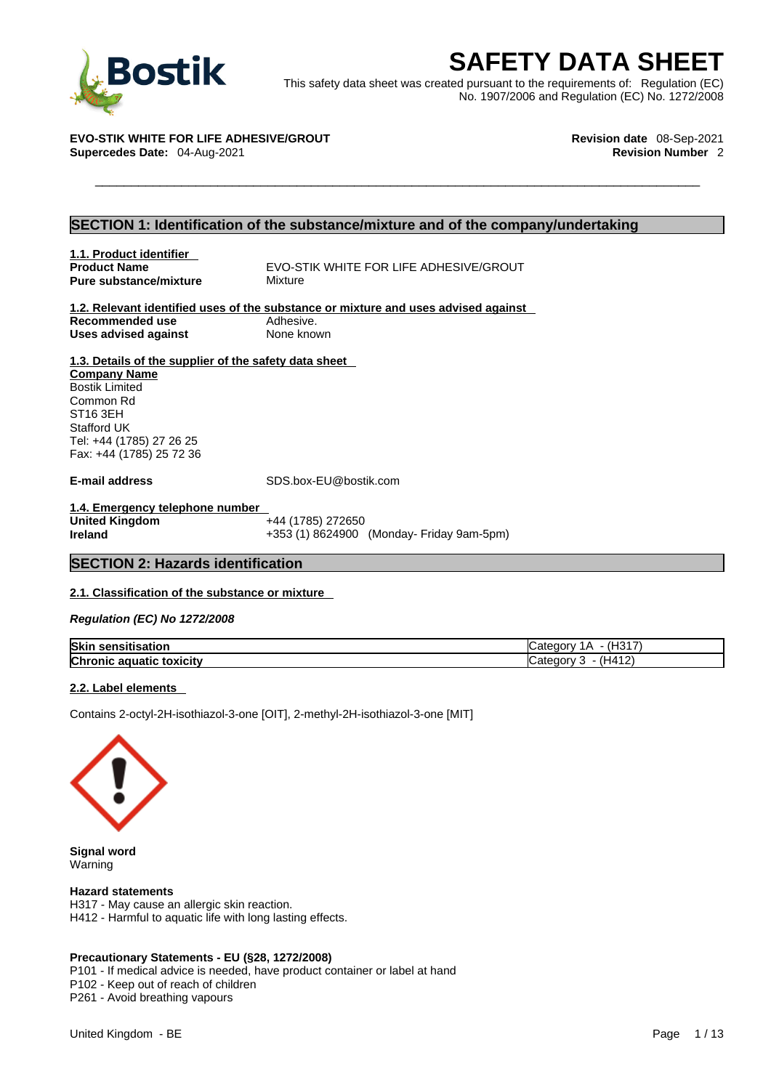

**BOStik**<br>
This safety data sheet was created pursuant to the requirements of: Regulation (EC)<br>
No. 1907/2006 and Regulation (EC) No. 1272/2008<br>
STIK WHITE FOR LIFE ADHESIVE/GROUT<br>
Revision date 08-Sep-2021<br>
Revision Number This safety data sheet was created pursuant to the requirements of: Regulation (EC) No. 1907/2006 and Regulation (EC) No. 1272/2008

**EVO-STIK WHITE FOR LIFE ADHESIVE/GROUT Revision date** 08-Sep-2021 **Supercedes Date:** 04-Aug-2021 **Revision Number** 2

## **SECTION 1: Identification of the substance/mixture and of the company/undertaking**

**1.1. Product identifier Pure substance/mixture** 

**Product Name** EVO-STIK WHITE FOR LIFE ADHESIVE/GROUT<br> **Pure substance/mixture** Mixture

**1.2. Relevant identified uses of the substance or mixture and uses advised against Recommended use** Adhesive.<br> **Uses advised against** None known **Uses advised against** 

## **1.3. Details of the supplier of the safety data sheet**

**Company Name** Bostik Limited Common Rd ST16 3EH Stafford UK Tel: +44 (1785) 27 26 25 Fax: +44 (1785) 25 72 36

**E-mail address** SDS.box-EU@bostik.com

**1.4. Emergency telephone number United Kingdom**<br>Ireland

**Ireland** +353 (1) 8624900 (Monday- Friday 9am-5pm)

## **SECTION 2: Hazards identification**

## **2.1. Classification of the substance or mixture**

*Regulation (EC) No 1272/2008* 

| <b>Skin</b><br>disation<br>- SCIISP | $\rightarrow$<br>− |
|-------------------------------------|--------------------|
| <b>Chronic</b>                      | (H412)             |
| toxicity                            | -11                |
| . aquatic                           | $\sqrt{2}$         |

## **2.2. Label elements**

Contains 2-octyl-2H-isothiazol-3-one [OIT], 2-methyl-2H-isothiazol-3-one [MIT]



**Signal word** Warning

### **Hazard statements**

H317 - May cause an allergic skin reaction. H412 - Harmful to aquatic life with long lasting effects.

## **Precautionary Statements - EU (§28, 1272/2008)**

P101 - If medical advice is needed, have product container or label at hand

P102 - Keep out of reach of children

P261 - Avoid breathing vapours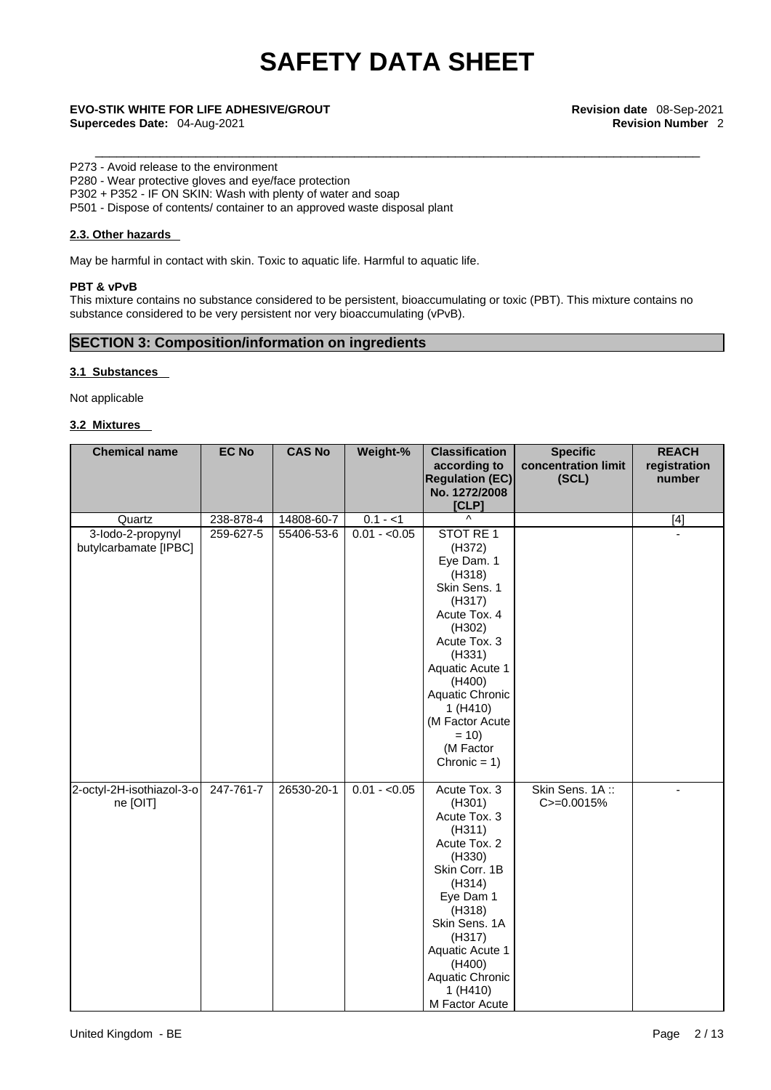## P273 - Avoid release to the environment

P280 - Wear protective gloves and eye/face protection

P302 + P352 - IF ON SKIN: Wash with plenty of water and soap

P501 - Dispose of contents/ container to an approved waste disposal plant

## **2.3. Other hazards**

May be harmful in contact with skin. Toxic to aquatic life. Harmful to aquatic life.

## **PBT & vPvB**

This mixture contains no substance considered to be persistent, bioaccumulating or toxic (PBT). This mixture contains no substance considered to be very persistent nor very bioaccumulating (vPvB).

## **SECTION 3: Composition/information on ingredients**

## **3.1 Substances**

Not applicable

## **3.2 Mixtures**

| <b>Chemical name</b>                       | <b>EC No</b> | <b>CAS No</b> | Weight-%      | <b>Classification</b>                                                                                                                                                                                                                                   | <b>Specific</b>                 | <b>REACH</b> |
|--------------------------------------------|--------------|---------------|---------------|---------------------------------------------------------------------------------------------------------------------------------------------------------------------------------------------------------------------------------------------------------|---------------------------------|--------------|
|                                            |              |               |               | according to                                                                                                                                                                                                                                            | concentration limit             | registration |
|                                            |              |               |               | <b>Regulation (EC)</b>                                                                                                                                                                                                                                  | (SCL)                           | number       |
|                                            |              |               |               | No. 1272/2008                                                                                                                                                                                                                                           |                                 |              |
|                                            |              |               |               | [CLP]<br>$\wedge$                                                                                                                                                                                                                                       |                                 |              |
| Quartz                                     | 238-878-4    | 14808-60-7    | $0.1 - 1$     |                                                                                                                                                                                                                                                         |                                 | $[4]$        |
| 3-lodo-2-propynyl<br>butylcarbamate [IPBC] | 259-627-5    | 55406-53-6    | $0.01 - 0.05$ | STOT RE 1<br>(H372)<br>Eye Dam. 1<br>(H318)<br>Skin Sens. 1<br>(H317)<br>Acute Tox. 4<br>(H302)<br>Acute Tox. 3<br>(H331)<br>Aquatic Acute 1<br>(H400)<br>Aquatic Chronic<br>1 (H410)<br>(M Factor Acute<br>$= 10$<br>(M Factor                         |                                 |              |
| 2-octyl-2H-isothiazol-3-o<br>ne [OIT]      | 247-761-7    | 26530-20-1    | $0.01 - 0.05$ | Chronic = $1)$<br>Acute Tox. 3<br>(H301)<br>Acute Tox. 3<br>(H311)<br>Acute Tox. 2<br>(H330)<br>Skin Corr. 1B<br>(H314)<br>Eye Dam 1<br>(H318)<br>Skin Sens. 1A<br>(H317)<br>Aquatic Acute 1<br>(H400)<br>Aquatic Chronic<br>1 (H410)<br>M Factor Acute | Skin Sens. 1A:<br>$C = 0.0015%$ | ÷.           |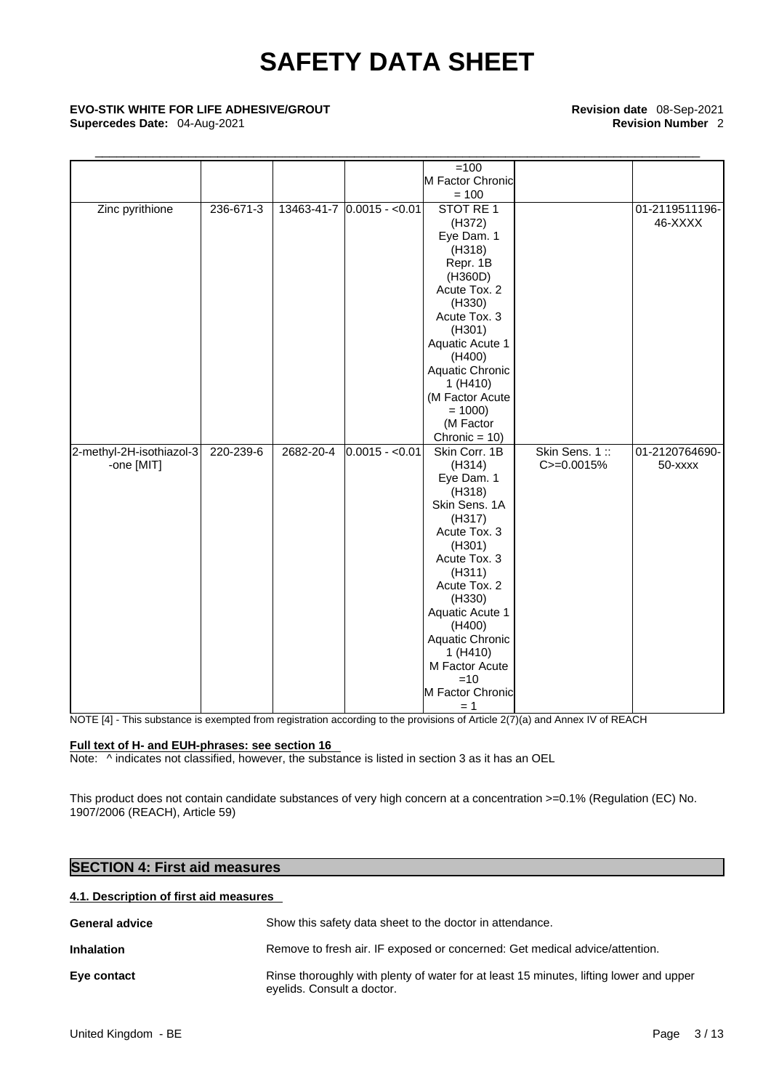# \_\_\_\_\_\_\_\_\_\_\_\_\_\_\_\_\_\_\_\_\_\_\_\_\_\_\_\_\_\_\_\_\_\_\_\_\_\_\_\_\_\_\_\_\_\_\_\_\_\_\_\_\_\_\_\_\_\_\_\_\_\_\_\_\_\_\_\_\_\_\_\_\_\_\_\_\_\_\_\_\_\_\_\_ **EVO-STIK WHITE FOR LIFE ADHESIVE/GROUT Revision date** 08-Sep-2021

**Supercedes Date:** 04-Aug-2021 **Revision Number** 2

|                          |                 |           |                            | $=100$           |               |                |
|--------------------------|-----------------|-----------|----------------------------|------------------|---------------|----------------|
|                          |                 |           |                            | M Factor Chronic |               |                |
|                          |                 |           |                            | $= 100$          |               |                |
| Zinc pyrithione          | $236 - 671 - 3$ |           | 13463-41-7 0.0015 - < 0.01 | STOT RE 1        |               | 01-2119511196- |
|                          |                 |           |                            | (H372)           |               | 46-XXXX        |
|                          |                 |           |                            | Eye Dam. 1       |               |                |
|                          |                 |           |                            | (H318)           |               |                |
|                          |                 |           |                            | Repr. 1B         |               |                |
|                          |                 |           |                            | (H360D)          |               |                |
|                          |                 |           |                            | Acute Tox. 2     |               |                |
|                          |                 |           |                            | (H330)           |               |                |
|                          |                 |           |                            | Acute Tox. 3     |               |                |
|                          |                 |           |                            | (H301)           |               |                |
|                          |                 |           |                            | Aquatic Acute 1  |               |                |
|                          |                 |           |                            | (H400)           |               |                |
|                          |                 |           |                            | Aquatic Chronic  |               |                |
|                          |                 |           |                            | 1 (H410)         |               |                |
|                          |                 |           |                            | (M Factor Acute  |               |                |
|                          |                 |           |                            | $= 1000$         |               |                |
|                          |                 |           |                            | (M Factor        |               |                |
|                          |                 |           |                            | Chronic = $10$ ) |               |                |
| 2-methyl-2H-isothiazol-3 | 220-239-6       | 2682-20-4 | $0.0015 - 0.01$            | Skin Corr. 1B    | Skin Sens. 1: | 01-2120764690- |
| -one [MIT]               |                 |           |                            | (H314)           | C>=0.0015%    | 50-xxxx        |
|                          |                 |           |                            | Eye Dam. 1       |               |                |
|                          |                 |           |                            | (H318)           |               |                |
|                          |                 |           |                            | Skin Sens. 1A    |               |                |
|                          |                 |           |                            | (H317)           |               |                |
|                          |                 |           |                            | Acute Tox. 3     |               |                |
|                          |                 |           |                            | (H301)           |               |                |
|                          |                 |           |                            | Acute Tox. 3     |               |                |
|                          |                 |           |                            | (H311)           |               |                |
|                          |                 |           |                            | Acute Tox. 2     |               |                |
|                          |                 |           |                            | (H330)           |               |                |
|                          |                 |           |                            | Aquatic Acute 1  |               |                |
|                          |                 |           |                            | (H400)           |               |                |
|                          |                 |           |                            | Aquatic Chronic  |               |                |
|                          |                 |           |                            | 1(H410)          |               |                |
|                          |                 |           |                            | M Factor Acute   |               |                |
|                          |                 |           |                            | $=10$            |               |                |
|                          |                 |           |                            | M Factor Chronic |               |                |
|                          |                 |           |                            | $= 1$            |               |                |

NOTE [4] - This substance is exempted from registration according to the provisions of Article 2(7)(a) and Annex IV of REACH

## **Full text of H- and EUH-phrases: see section 16**

Note:  $\wedge$  indicates not classified, however, the substance is listed in section 3 as it has an OEL

This product does not contain candidate substances of very high concern at a concentration >=0.1% (Regulation (EC) No. 1907/2006 (REACH), Article 59)

## **SECTION 4: First aid measures**

## **4.1. Description of first aid measures**

| <b>General advice</b> | Show this safety data sheet to the doctor in attendance.                                                             |
|-----------------------|----------------------------------------------------------------------------------------------------------------------|
| <b>Inhalation</b>     | Remove to fresh air. IF exposed or concerned: Get medical advice/attention.                                          |
| Eye contact           | Rinse thoroughly with plenty of water for at least 15 minutes, lifting lower and upper<br>eyelids. Consult a doctor. |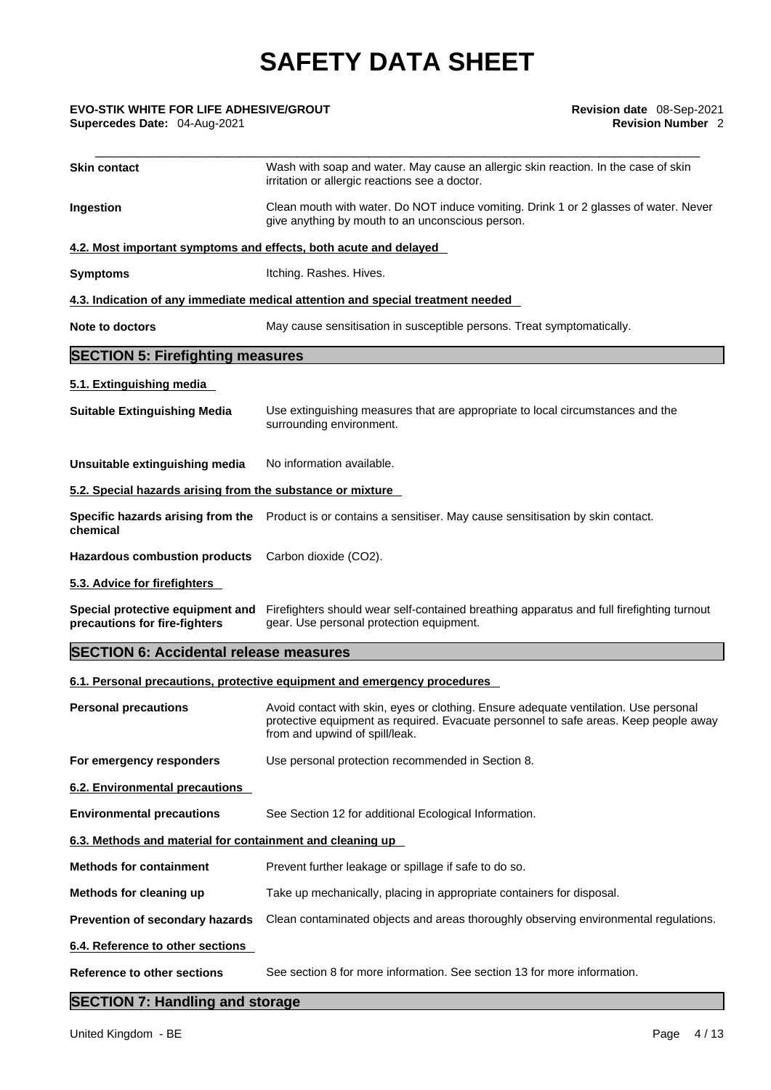## \_\_\_\_\_\_\_\_\_\_\_\_\_\_\_\_\_\_\_\_\_\_\_\_\_\_\_\_\_\_\_\_\_\_\_\_\_\_\_\_\_\_\_\_\_\_\_\_\_\_\_\_\_\_\_\_\_\_\_\_\_\_\_\_\_\_\_\_\_\_\_\_\_\_\_\_\_\_\_\_\_\_\_\_ **EVO-STIK WHITE FOR LIFE ADHESIVE/GROUT Revision date** 08-Sep-2021 **Supercedes Date: 04-Aug-2021**

| <b>Skin contact</b>                                               | Wash with soap and water. May cause an allergic skin reaction. In the case of skin<br>irritation or allergic reactions see a doctor.                                                                           |
|-------------------------------------------------------------------|----------------------------------------------------------------------------------------------------------------------------------------------------------------------------------------------------------------|
| Ingestion                                                         | Clean mouth with water. Do NOT induce vomiting. Drink 1 or 2 glasses of water. Never<br>give anything by mouth to an unconscious person.                                                                       |
| 4.2. Most important symptoms and effects, both acute and delayed  |                                                                                                                                                                                                                |
| <b>Symptoms</b>                                                   | Itching. Rashes. Hives.                                                                                                                                                                                        |
|                                                                   | 4.3. Indication of any immediate medical attention and special treatment needed                                                                                                                                |
| <b>Note to doctors</b>                                            | May cause sensitisation in susceptible persons. Treat symptomatically.                                                                                                                                         |
| <b>SECTION 5: Firefighting measures</b>                           |                                                                                                                                                                                                                |
| 5.1. Extinguishing media                                          |                                                                                                                                                                                                                |
| <b>Suitable Extinguishing Media</b>                               | Use extinguishing measures that are appropriate to local circumstances and the<br>surrounding environment.                                                                                                     |
| Unsuitable extinguishing media                                    | No information available.                                                                                                                                                                                      |
| 5.2. Special hazards arising from the substance or mixture        |                                                                                                                                                                                                                |
| chemical                                                          | Specific hazards arising from the Product is or contains a sensitiser. May cause sensitisation by skin contact.                                                                                                |
| <b>Hazardous combustion products</b>                              | Carbon dioxide (CO2).                                                                                                                                                                                          |
| 5.3. Advice for firefighters                                      |                                                                                                                                                                                                                |
| Special protective equipment and<br>precautions for fire-fighters | Firefighters should wear self-contained breathing apparatus and full firefighting turnout<br>gear. Use personal protection equipment.                                                                          |
| <b>SECTION 6: Accidental release measures</b>                     |                                                                                                                                                                                                                |
|                                                                   | 6.1. Personal precautions, protective equipment and emergency procedures                                                                                                                                       |
| <b>Personal precautions</b>                                       | Avoid contact with skin, eyes or clothing. Ensure adequate ventilation. Use personal<br>protective equipment as required. Evacuate personnel to safe areas. Keep people away<br>from and upwind of spill/leak. |
| For emergency responders                                          | Use personal protection recommended in Section 8.                                                                                                                                                              |
| 6.2. Environmental precautions                                    |                                                                                                                                                                                                                |
| <b>Environmental precautions</b>                                  | See Section 12 for additional Ecological Information.                                                                                                                                                          |
| 6.3. Methods and material for containment and cleaning up         |                                                                                                                                                                                                                |
| <b>Methods for containment</b>                                    | Prevent further leakage or spillage if safe to do so.                                                                                                                                                          |
| Methods for cleaning up                                           | Take up mechanically, placing in appropriate containers for disposal.                                                                                                                                          |
| Prevention of secondary hazards                                   | Clean contaminated objects and areas thoroughly observing environmental regulations.                                                                                                                           |
| 6.4. Reference to other sections                                  |                                                                                                                                                                                                                |
| <b>Reference to other sections</b>                                | See section 8 for more information. See section 13 for more information.                                                                                                                                       |
| <b>SECTION 7: Handling and storage</b>                            |                                                                                                                                                                                                                |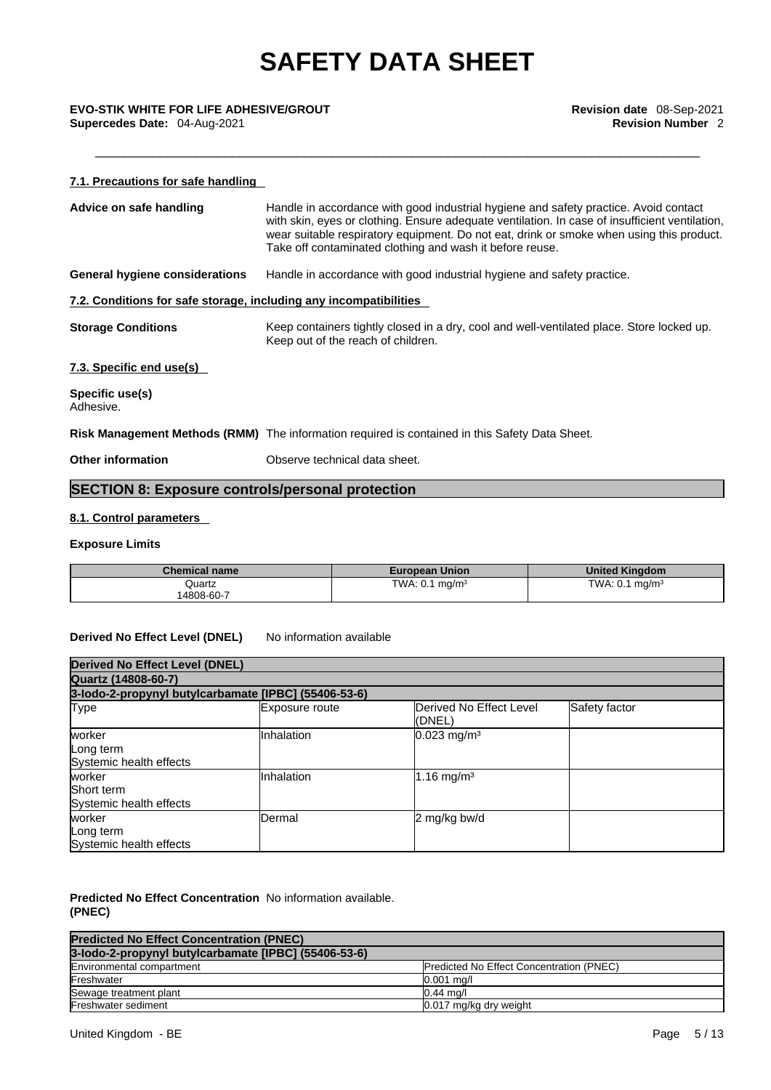## **7.1. Precautions for safe handling Advice on safe handling** Handle in accordance with good industrial hygiene and safety practice. Avoid contact with skin, eyes or clothing. Ensure adequate ventilation. In case of insufficient ventilation, wear suitable respiratory equipment. Do not eat, drink or smoke when using this product. Take off contaminated clothing and wash it before reuse. **General hygiene considerations** Handle in accordance with good industrial hygiene and safety practice. **7.2. Conditions for safe storage, including any incompatibilities Storage Conditions** Keep containers tightly closed in a dry, cool and well-ventilated place. Store locked up. Keep out of the reach of children. **7.3. Specific end use(s) Specific use(s)** Adhesive. **Risk Management Methods (RMM)** The information required is contained in this Safety Data Sheet. **Other information Observe technical data sheet. SECTION 8: Exposure controls/personal protection 8.1. Control parameters**

## **Exposure Limits**

| <b>Chemical name</b> | <b>European Union</b>     | <b>United Kingdom</b>     |
|----------------------|---------------------------|---------------------------|
| Quartz               | TWA: $0.1 \text{ mg/m}^3$ | TWA: $0.1 \text{ mg/m}^3$ |
| 14808-60-7           |                           |                           |

## **Derived No Effect Level (DNEL)** No information available

| <b>Derived No Effect Level (DNEL)</b>                |                |                                   |               |
|------------------------------------------------------|----------------|-----------------------------------|---------------|
| Quartz (14808-60-7)                                  |                |                                   |               |
| 3-lodo-2-propynyl butylcarbamate [IPBC] (55406-53-6) |                |                                   |               |
| Type                                                 | Exposure route | Derived No Effect Level<br>(DNEL) | Safety factor |
| worker<br>Long term<br>Systemic health effects       | Inhalation     | $0.023$ mg/m <sup>3</sup>         |               |
| worker<br>Short term<br>Systemic health effects      | Inhalation     | 1.16 mg/m <sup>3</sup>            |               |
| worker<br>Long term<br>Systemic health effects       | Dermal         | 2 mg/kg bw/d                      |               |

## **Predicted No Effect Concentration** No information available. **(PNEC)**

| <b>Predicted No Effect Concentration (PNEC)</b>      |                                                 |
|------------------------------------------------------|-------------------------------------------------|
| 3-lodo-2-propynyl butylcarbamate [IPBC] (55406-53-6) |                                                 |
| Environmental compartment                            | <b>Predicted No Effect Concentration (PNEC)</b> |
| Freshwater                                           | $0.001$ mg/l                                    |
| Sewage treatment plant                               | $0.44$ ma/                                      |
| Freshwater sediment                                  | 0.017 mg/kg dry weight                          |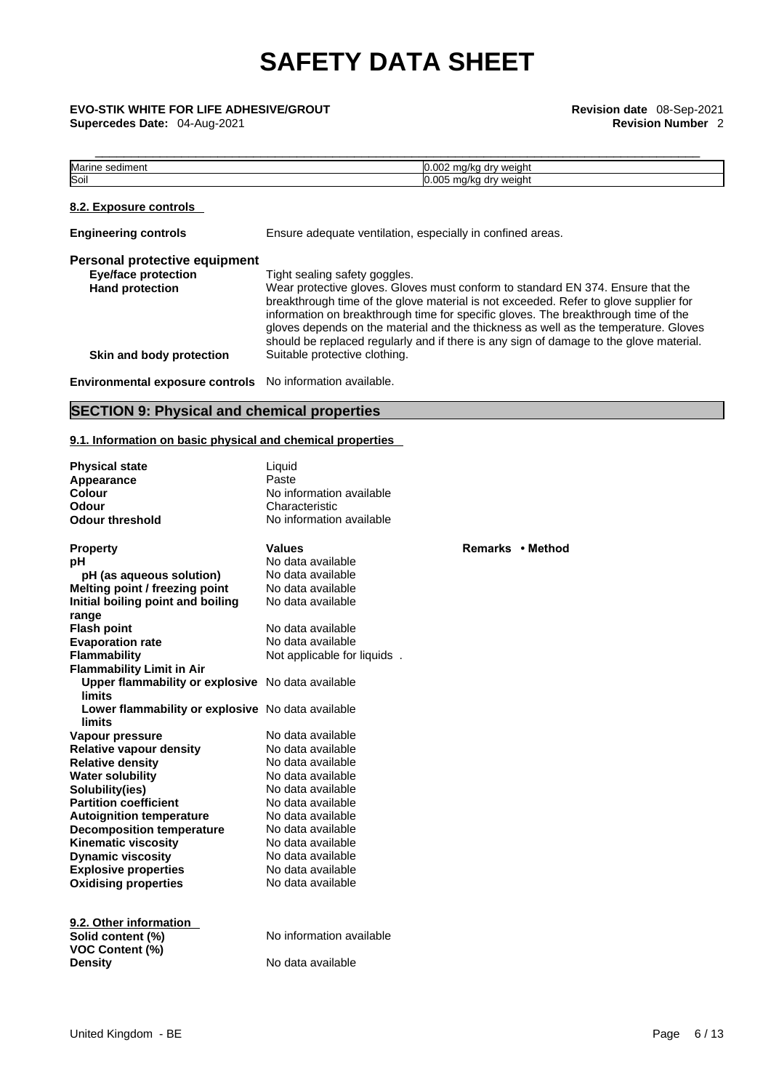**Supercedes Date:** 04-Aug-2021 **Revision Number** 2

\_\_\_\_\_\_\_\_\_\_\_\_\_\_\_\_\_\_\_\_\_\_\_\_\_\_\_\_\_\_\_\_\_\_\_\_\_\_\_\_\_\_\_\_\_\_\_\_\_\_\_\_\_\_\_\_\_\_\_\_\_\_\_\_\_\_\_\_\_\_\_\_\_\_\_\_\_\_\_\_\_\_\_\_ **EVO-STIK WHITE FOR LIFE ADHESIVE/GROUT Revision date** 08-Sep-2021

| . .<br>Mai<br>sediment | $\sim$<br>weight<br>، را ا<br>חר<br>'NU<br>ш.<br>. .  |
|------------------------|-------------------------------------------------------|
| Soil                   | ∩∩r<br>weight<br>dr.<br>11.7<br>'NU<br>. .<br>$\cdot$ |

## **8.2. Exposure controls**

| <b>Engineering controls</b>                               | Ensure adequate ventilation, especially in confined areas.                                                                                                                                                                                                                                                                                                                                                                                     |
|-----------------------------------------------------------|------------------------------------------------------------------------------------------------------------------------------------------------------------------------------------------------------------------------------------------------------------------------------------------------------------------------------------------------------------------------------------------------------------------------------------------------|
| Personal protective equipment                             |                                                                                                                                                                                                                                                                                                                                                                                                                                                |
| <b>Eye/face protection</b>                                | Tight sealing safety goggles.                                                                                                                                                                                                                                                                                                                                                                                                                  |
| <b>Hand protection</b>                                    | Wear protective gloves. Gloves must conform to standard EN 374. Ensure that the<br>breakthrough time of the glove material is not exceeded. Refer to glove supplier for<br>information on breakthrough time for specific gloves. The breakthrough time of the<br>gloves depends on the material and the thickness as well as the temperature. Gloves<br>should be replaced regularly and if there is any sign of damage to the glove material. |
| Skin and body protection                                  | Suitable protective clothing.                                                                                                                                                                                                                                                                                                                                                                                                                  |
| Environmental exposure controls No information available. |                                                                                                                                                                                                                                                                                                                                                                                                                                                |

## **SECTION 9: Physical and chemical properties**

## **9.1. Information on basic physical and chemical properties**

| <b>Physical state</b><br>Appearance<br>Colour<br>Odour<br><b>Odour threshold</b> | Liquid<br>Paste<br>No information available<br>Characteristic<br>No information available |      |
|----------------------------------------------------------------------------------|-------------------------------------------------------------------------------------------|------|
| <b>Property</b>                                                                  | <b>Values</b>                                                                             | Rema |
| рH                                                                               | No data available                                                                         |      |
| pH (as aqueous solution)                                                         | No data available                                                                         |      |
| Melting point / freezing point                                                   | No data available                                                                         |      |
| Initial boiling point and boiling                                                | No data available                                                                         |      |
| range                                                                            |                                                                                           |      |
| <b>Flash point</b>                                                               | No data available                                                                         |      |
| <b>Evaporation rate</b>                                                          | No data available                                                                         |      |
| Flammability                                                                     | Not applicable for liquids.                                                               |      |
| <b>Flammability Limit in Air</b>                                                 |                                                                                           |      |
| Upper flammability or explosive No data available<br>limits                      |                                                                                           |      |
| Lower flammability or explosive No data available                                |                                                                                           |      |
| limits                                                                           |                                                                                           |      |
| Vapour pressure                                                                  | No data available                                                                         |      |
| <b>Relative vapour density</b>                                                   | No data available                                                                         |      |
| <b>Relative density</b>                                                          | No data available                                                                         |      |
| <b>Water solubility</b>                                                          | No data available                                                                         |      |
| Solubility(ies)                                                                  | No data available                                                                         |      |
| <b>Partition coefficient</b>                                                     | No data available                                                                         |      |
| <b>Autoignition temperature</b>                                                  | No data available                                                                         |      |
| <b>Decomposition temperature</b>                                                 | No data available                                                                         |      |
| <b>Kinematic viscosity</b>                                                       | No data available                                                                         |      |
| <b>Dynamic viscosity</b>                                                         | No data available                                                                         |      |
| <b>Explosive properties</b>                                                      | No data available                                                                         |      |
| <b>Oxidising properties</b>                                                      | No data available                                                                         |      |
| 9.2. Other information                                                           |                                                                                           |      |
| Solid content (%)                                                                | No information available                                                                  |      |
| <b>VOC Content (%)</b>                                                           |                                                                                           |      |
| <b>Density</b>                                                                   | No data available                                                                         |      |

**Property Values Remarks • Method**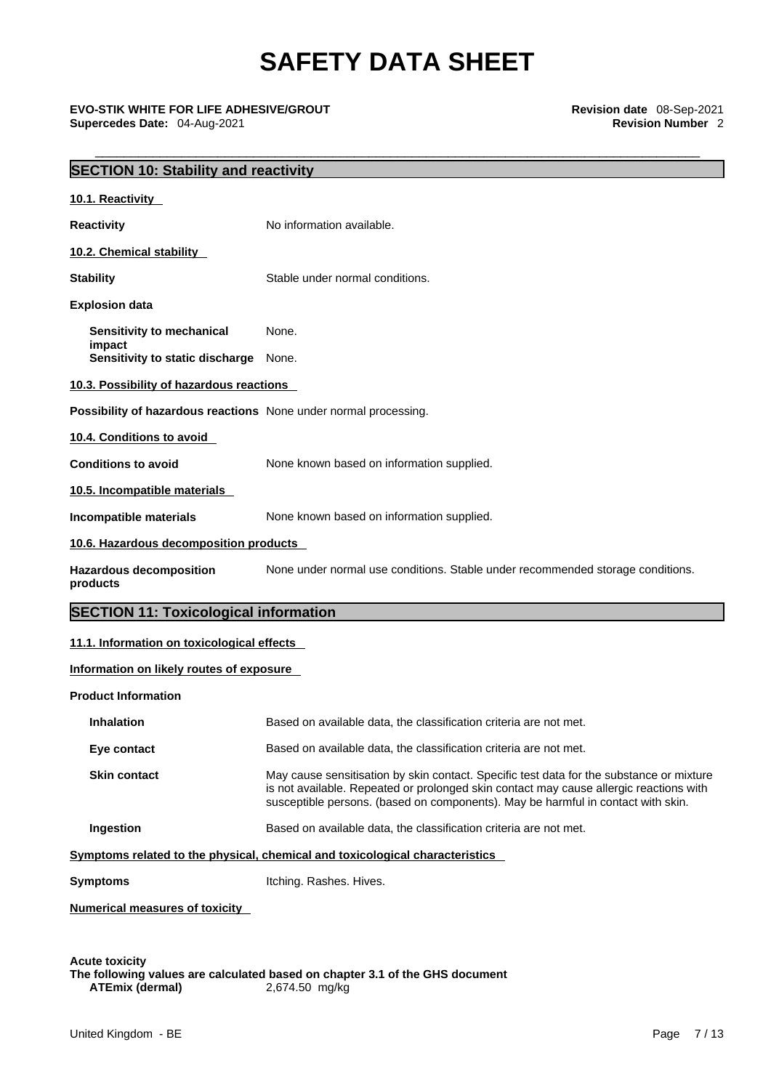\_\_\_\_\_\_\_\_\_\_\_\_\_\_\_\_\_\_\_\_\_\_\_\_\_\_\_\_\_\_\_\_\_\_\_\_\_\_\_\_\_\_\_\_\_\_\_\_\_\_\_\_\_\_\_\_\_\_\_\_\_\_\_\_\_\_\_\_\_\_\_\_\_\_\_\_\_\_\_\_\_\_\_\_ **EVO-STIK WHITE FOR LIFE ADHESIVE/GROUT Revision date** 08-Sep-2021 **Supercedes Date: 04-Aug-2021** 

| <b>SECTION 10: Stability and reactivity</b>                      |                                                                                                                                                                                                                                                                        |
|------------------------------------------------------------------|------------------------------------------------------------------------------------------------------------------------------------------------------------------------------------------------------------------------------------------------------------------------|
| 10.1. Reactivity                                                 |                                                                                                                                                                                                                                                                        |
| <b>Reactivity</b>                                                | No information available.                                                                                                                                                                                                                                              |
| 10.2. Chemical stability                                         |                                                                                                                                                                                                                                                                        |
| <b>Stability</b>                                                 | Stable under normal conditions.                                                                                                                                                                                                                                        |
| <b>Explosion data</b>                                            |                                                                                                                                                                                                                                                                        |
| Sensitivity to mechanical                                        | None.                                                                                                                                                                                                                                                                  |
| impact<br>Sensitivity to static discharge None.                  |                                                                                                                                                                                                                                                                        |
| 10.3. Possibility of hazardous reactions                         |                                                                                                                                                                                                                                                                        |
| Possibility of hazardous reactions None under normal processing. |                                                                                                                                                                                                                                                                        |
| 10.4. Conditions to avoid                                        |                                                                                                                                                                                                                                                                        |
| <b>Conditions to avoid</b>                                       | None known based on information supplied.                                                                                                                                                                                                                              |
| 10.5. Incompatible materials                                     |                                                                                                                                                                                                                                                                        |
| Incompatible materials                                           | None known based on information supplied.                                                                                                                                                                                                                              |
| 10.6. Hazardous decomposition products                           |                                                                                                                                                                                                                                                                        |
| <b>Hazardous decomposition</b><br>products                       | None under normal use conditions. Stable under recommended storage conditions.                                                                                                                                                                                         |
| <b>SECTION 11: Toxicological information</b>                     |                                                                                                                                                                                                                                                                        |
|                                                                  |                                                                                                                                                                                                                                                                        |
| 11.1. Information on toxicological effects                       |                                                                                                                                                                                                                                                                        |
| Information on likely routes of exposure                         |                                                                                                                                                                                                                                                                        |
| <b>Product Information</b>                                       |                                                                                                                                                                                                                                                                        |
| Inhalation                                                       | Based on available data, the classification criteria are not met.                                                                                                                                                                                                      |
| Eye contact                                                      | Based on available data, the classification criteria are not met.                                                                                                                                                                                                      |
| <b>Skin contact</b>                                              | May cause sensitisation by skin contact. Specific test data for the substance or mixture<br>is not available. Repeated or prolonged skin contact may cause allergic reactions with<br>susceptible persons. (based on components). May be harmful in contact with skin. |
| Ingestion                                                        | Based on available data, the classification criteria are not met.                                                                                                                                                                                                      |
|                                                                  | Symptoms related to the physical, chemical and toxicological characteristics                                                                                                                                                                                           |
| <b>Symptoms</b>                                                  | Itching. Rashes. Hives.                                                                                                                                                                                                                                                |

**The following values are calculated based on chapter 3.1 of the GHS document ATEmix (dermal)**2,674.50 mg/kg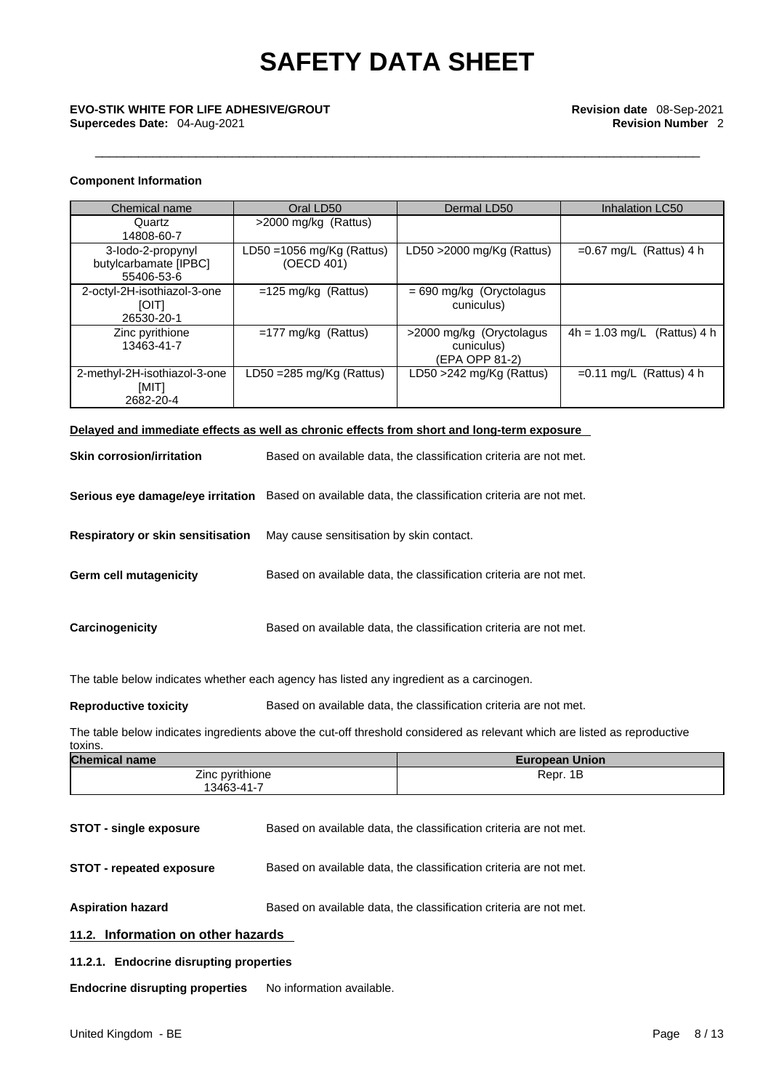# \_\_\_\_\_\_\_\_\_\_\_\_\_\_\_\_\_\_\_\_\_\_\_\_\_\_\_\_\_\_\_\_\_\_\_\_\_\_\_\_\_\_\_\_\_\_\_\_\_\_\_\_\_\_\_\_\_\_\_\_\_\_\_\_\_\_\_\_\_\_\_\_\_\_\_\_\_\_\_\_\_\_\_\_ **EVO-STIK WHITE FOR LIFE ADHESIVE/GROUT Revision date** 08-Sep-2021

### **Component Information**

| Chemical name                                            | Oral LD50                                  | Dermal LD50                                              | Inhalation LC50               |
|----------------------------------------------------------|--------------------------------------------|----------------------------------------------------------|-------------------------------|
| Quartz<br>14808-60-7                                     | >2000 mg/kg (Rattus)                       |                                                          |                               |
| 3-lodo-2-propynyl<br>butylcarbamate [IPBC]<br>55406-53-6 | LD50 = $1056$ mg/Kg (Rattus)<br>(OECD 401) | LD50 $>$ 2000 mg/Kg (Rattus)                             | $=0.67$ mg/L (Rattus) 4 h     |
| 2-octyl-2H-isothiazol-3-one<br><b>TIOT</b><br>26530-20-1 | $=125$ mg/kg (Rattus)                      | $= 690$ mg/kg (Oryctolagus<br>cuniculus)                 |                               |
| Zinc pyrithione<br>13463-41-7                            | $=177$ mg/kg (Rattus)                      | >2000 mg/kg (Oryctolagus<br>cuniculus)<br>(EPA OPP 81-2) | $4h = 1.03$ mg/L (Rattus) 4 h |
| 2-methyl-2H-isothiazol-3-one<br>[MIT]<br>2682-20-4       | LD50 =285 mg/Kg (Rattus)                   | LD50 >242 mg/Kg (Rattus)                                 | $=0.11$ mg/L (Rattus) 4 h     |

## **Delayed and immediate effects as well as chronic effects from short and long-term exposure**

| <b>Skin corrosion/irritation</b>         | Based on available data, the classification criteria are not met. |
|------------------------------------------|-------------------------------------------------------------------|
| Serious eye damage/eye irritation        | Based on available data, the classification criteria are not met. |
| <b>Respiratory or skin sensitisation</b> | May cause sensitisation by skin contact.                          |
| Germ cell mutagenicity                   | Based on available data, the classification criteria are not met. |
| Carcinogenicity                          | Based on available data, the classification criteria are not met. |

The table below indicates whether each agency has listed any ingredient as a carcinogen.

**Reproductive toxicity** Based on available data, the classification criteria are not met.

The table below indicates ingredients above the cut-off threshold considered as relevant which are listed as reproductive toxins.

| <b>Chemical name</b> | <b>European Union</b> |
|----------------------|-----------------------|
| Zinc pyrithione      | Repr. 1B              |
| 13463-41-7           |                       |

**STOT - single exposure** Based on available data, the classification criteria are not met.

**STOT** - **repeated exposure** Based on available data, the classification criteria are not met.

**Aspiration hazard Based on available data, the classification criteria are not met.** 

**11.2. Information on other hazards** 

**11.2.1. Endocrine disrupting properties**

**Endocrine disrupting properties** No information available.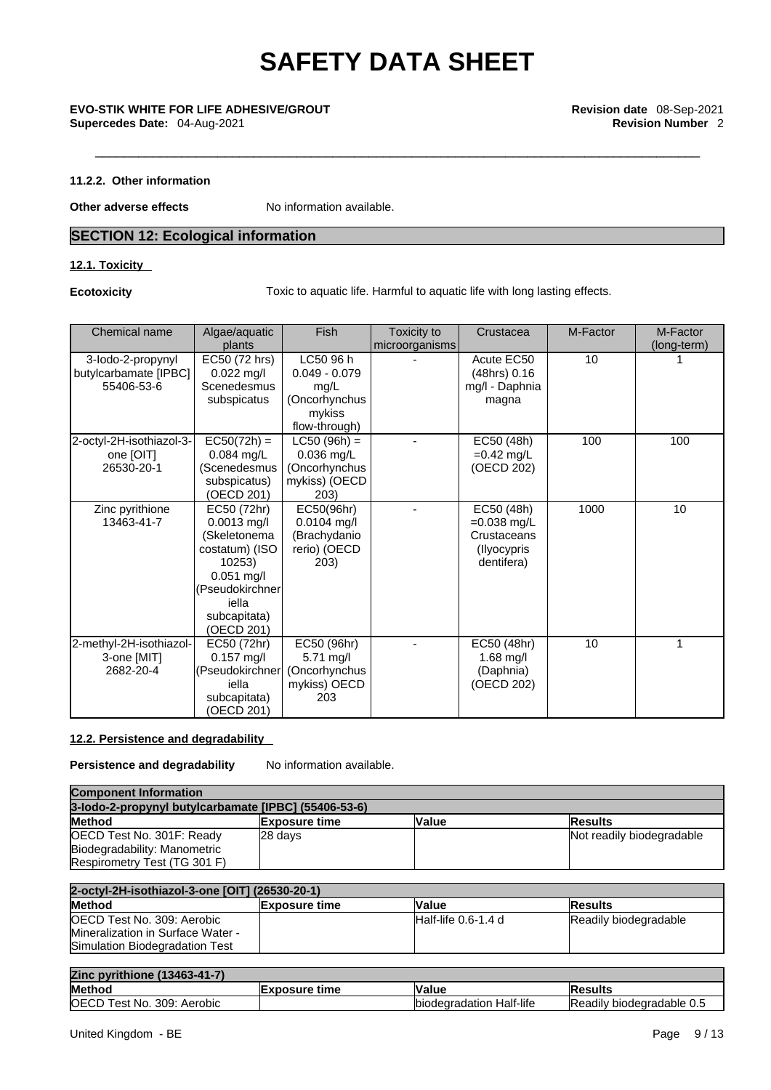## **11.2.2. Other information**

**Other adverse effects** No information available.

## **SECTION 12: Ecological information**

## **12.1. Toxicity**

**Ecotoxicity Toxic to aquatic life. Harmful to aquatic life with long lasting effects.** 

| Chemical name                                            | Algae/aquatic<br>plants                                                                                                                            | Fish                                                                             | Toxicity to<br>microorganisms | Crustacea                                                               | M-Factor | M-Factor<br>(long-term) |  |
|----------------------------------------------------------|----------------------------------------------------------------------------------------------------------------------------------------------------|----------------------------------------------------------------------------------|-------------------------------|-------------------------------------------------------------------------|----------|-------------------------|--|
| 3-lodo-2-propynyl<br>butylcarbamate [IPBC]<br>55406-53-6 | EC50 (72 hrs)<br>$0.022$ mg/l<br>Scenedesmus<br>subspicatus                                                                                        | LC50 96 h<br>$0.049 - 0.079$<br>mg/L<br>(Oncorhynchus<br>mykiss<br>flow-through) |                               | Acute EC50<br>(48hrs) 0.16<br>mg/l - Daphnia<br>magna                   | 10       |                         |  |
| 2-octyl-2H-isothiazol-3-<br>one [OIT]<br>26530-20-1      | $EC50(72h) =$<br>$0.084$ mg/L<br>(Scenedesmus<br>subspicatus)<br>(OECD 201)                                                                        | $LC50 (96h) =$<br>0.036 mg/L<br>(Oncorhynchus<br>mykiss) (OECD<br>203)           |                               | EC50 (48h)<br>$=0.42$ mg/L<br>(OECD 202)                                | 100      | 100                     |  |
| Zinc pyrithione<br>13463-41-7                            | EC50 (72hr)<br>$0.0013$ mg/l<br>(Skeletonema<br>costatum) (ISO<br>10253)<br>$0.051$ mg/l<br>(Pseudokirchner<br>iella<br>subcapitata)<br>(OECD 201) | EC50(96hr)<br>$0.0104$ mg/l<br>(Brachydanio<br>rerio) (OECD<br>203)              |                               | EC50 (48h)<br>$=0.038$ mg/L<br>Crustaceans<br>(Ilyocypris<br>dentifera) | 1000     | 10                      |  |
| 2-methyl-2H-isothiazol-<br>3-one [MIT]<br>2682-20-4      | EC50 (72hr)<br>$0.157$ mg/l<br>(Pseudokirchner<br>iella<br>subcapitata)<br>(OECD 201)                                                              | EC50 (96hr)<br>5.71 mg/l<br>(Oncorhynchus<br>mykiss) OECD<br>203                 |                               | EC50 (48hr)<br>$1.68$ mg/l<br>(Daphnia)<br>(OECD 202)                   | 10       | 1                       |  |

## **12.2. Persistence and degradability**

**Persistence and degradability** No information available.

| <b>Component Information</b>                                      |         |  |                           |  |
|-------------------------------------------------------------------|---------|--|---------------------------|--|
| 3-lodo-2-propynyl butylcarbamate [IPBC] (55406-53-6)              |         |  |                           |  |
| <b>Method</b><br>Value<br><b>Exposure time</b><br><b>IResults</b> |         |  |                           |  |
| OECD Test No. 301F: Ready                                         | 28 davs |  | Not readily biodegradable |  |
| Biodegradability: Manometric                                      |         |  |                           |  |
| Respirometry Test (TG 301 F)                                      |         |  |                           |  |

| 2-octyl-2H-isothiazol-3-one [OIT] (26530-20-1) |                      |                      |                       |
|------------------------------------------------|----------------------|----------------------|-----------------------|
| <b>Method</b>                                  | <b>Exposure time</b> | <b>Value</b>         | <b>Results</b>        |
| OECD Test No. 309: Aerobic                     |                      | IHalf-life 0.6-1.4 d | Readily biodegradable |
| Mineralization in Surface Water -              |                      |                      |                       |
| Simulation Biodegradation Test                 |                      |                      |                       |

| Zinc<br>pvrithione (13463-41-7)            |                   |                                     |                                     |
|--------------------------------------------|-------------------|-------------------------------------|-------------------------------------|
| <b>Method</b>                              | Exposure<br>⊪time | ⊺Value                              | IR۱<br>'esult⊾                      |
| <b>OECD</b><br>Test No.<br>309:<br>Aerobic |                   | Half-life<br><b>Ibiodegradation</b> | <b>Readily</b><br>biodegradable 0.5 |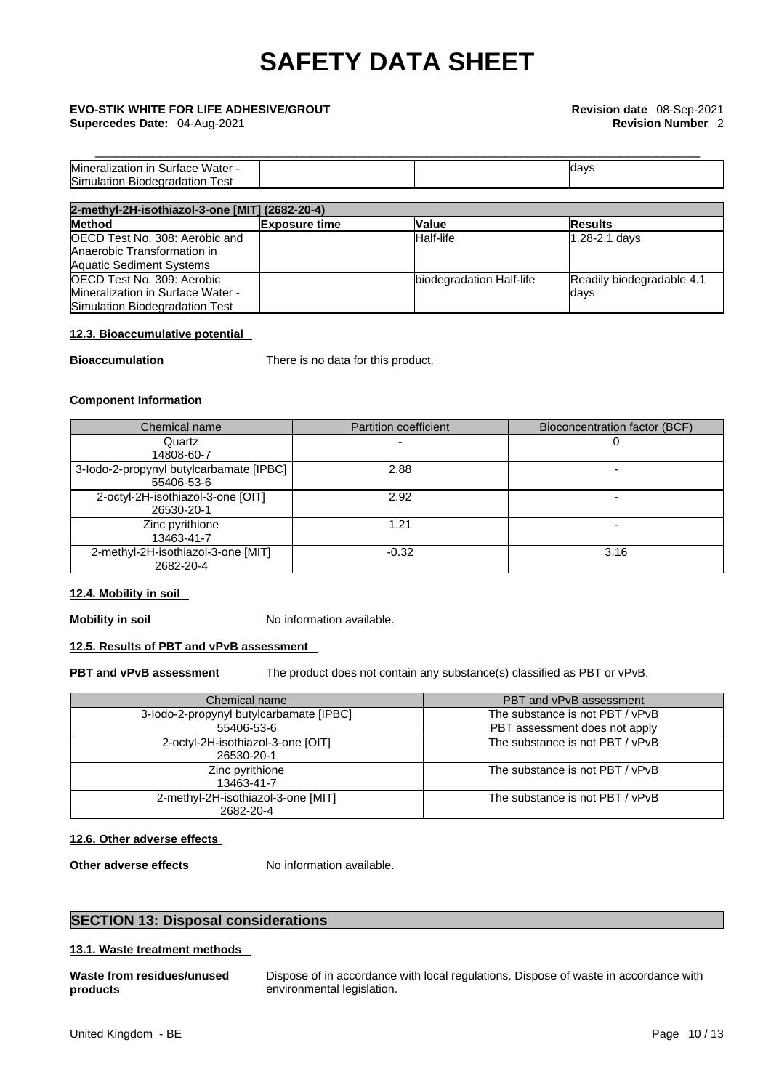**Supercedes Date:** 04-Aug-2021 **Revision Number** 2

# \_\_\_\_\_\_\_\_\_\_\_\_\_\_\_\_\_\_\_\_\_\_\_\_\_\_\_\_\_\_\_\_\_\_\_\_\_\_\_\_\_\_\_\_\_\_\_\_\_\_\_\_\_\_\_\_\_\_\_\_\_\_\_\_\_\_\_\_\_\_\_\_\_\_\_\_\_\_\_\_\_\_\_\_ **EVO-STIK WHITE FOR LIFE ADHESIVE/GROUT Revision date** 08-Sep-2021

| <b>Miner</b><br>Water -<br>√ralization in ∶<br>surtace ' |  | ldavs |
|----------------------------------------------------------|--|-------|
| Sim<br><b>Biodegradation</b><br>⊺est<br>uulation         |  |       |

| 2-methyl-2H-isothiazol-3-one [MIT] (2682-20-4) |                      |                          |                           |  |
|------------------------------------------------|----------------------|--------------------------|---------------------------|--|
| <b>Method</b>                                  | <b>Exposure time</b> | <b>Value</b>             | <b>Results</b>            |  |
| OECD Test No. 308: Aerobic and                 |                      | Half-life                | 1.28-2.1 days             |  |
| Anaerobic Transformation in                    |                      |                          |                           |  |
| <b>Aquatic Sediment Systems</b>                |                      |                          |                           |  |
| <b>OECD Test No. 309: Aerobic</b>              |                      | biodegradation Half-life | Readily biodegradable 4.1 |  |
| Mineralization in Surface Water -              |                      |                          | days                      |  |
| Simulation Biodegradation Test                 |                      |                          |                           |  |

## **12.3. Bioaccumulative potential**

**Bioaccumulation** There is no data for this product.

## **Component Information**

| Chemical name                           | <b>Partition coefficient</b> | Bioconcentration factor (BCF) |
|-----------------------------------------|------------------------------|-------------------------------|
| Quartz                                  |                              |                               |
| 14808-60-7                              |                              |                               |
| 3-lodo-2-propynyl butylcarbamate [IPBC] | 2.88                         |                               |
| 55406-53-6                              |                              |                               |
| 2-octyl-2H-isothiazol-3-one [OIT]       | 2.92                         |                               |
| 26530-20-1                              |                              |                               |
| Zinc pyrithione                         | 1.21                         |                               |
| 13463-41-7                              |                              |                               |
| 2-methyl-2H-isothiazol-3-one [MIT]      | $-0.32$                      | 3.16                          |
| 2682-20-4                               |                              |                               |

## **12.4. Mobility in soil**

**Mobility in soil** No information available.

## **12.5. Results of PBT and vPvB assessment**

**PBT and vPvB assessment** The product does not contain any substance(s) classified as PBT or vPvB.

| Chemical name                                         | PBT and vPvB assessment                                          |
|-------------------------------------------------------|------------------------------------------------------------------|
| 3-lodo-2-propynyl butylcarbamate [IPBC]<br>55406-53-6 | The substance is not PBT / vPvB<br>PBT assessment does not apply |
| 2-octyl-2H-isothiazol-3-one [OIT]<br>26530-20-1       | The substance is not PBT / vPvB                                  |
| Zinc pyrithione<br>13463-41-7                         | The substance is not PBT / vPvB                                  |
| 2-methyl-2H-isothiazol-3-one [MIT]<br>2682-20-4       | The substance is not PBT / vPvB                                  |

## **12.6. Other adverse effects**

**Other adverse effects** No information available.

## **SECTION 13: Disposal considerations**

## **13.1. Waste treatment methods**

**Waste from residues/unused products** 

Dispose of in accordance with local regulations. Dispose of waste in accordance with environmental legislation.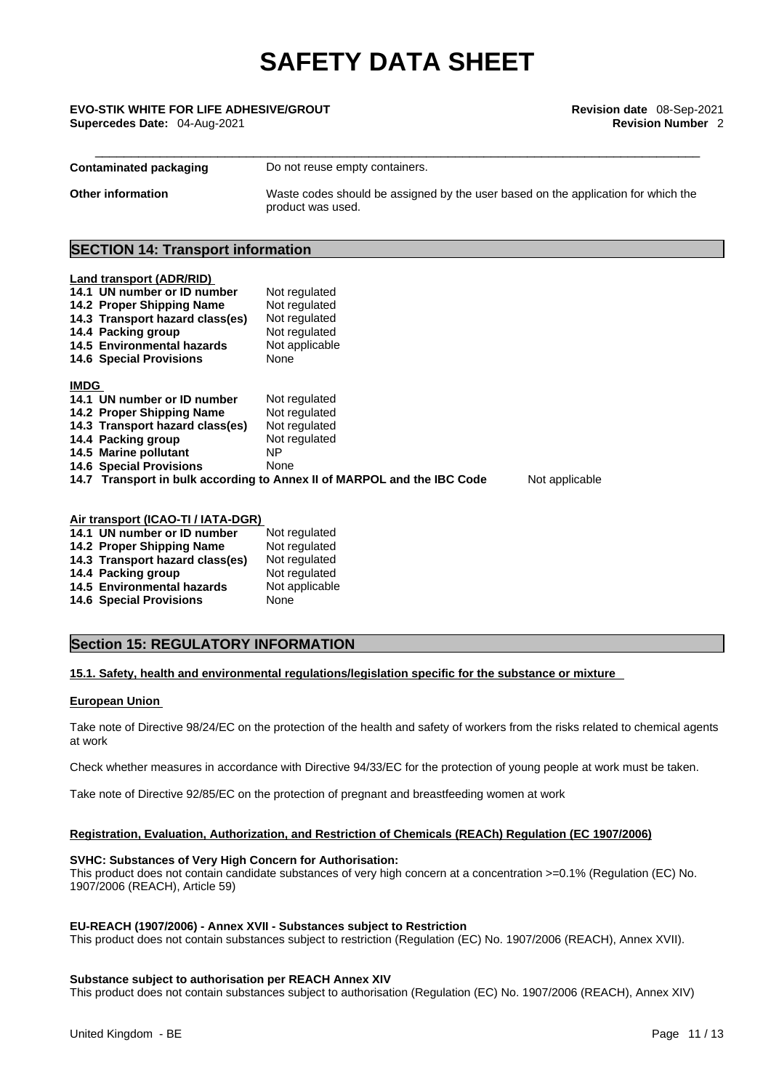\_\_\_\_\_\_\_\_\_\_\_\_\_\_\_\_\_\_\_\_\_\_\_\_\_\_\_\_\_\_\_\_\_\_\_\_\_\_\_\_\_\_\_\_\_\_\_\_\_\_\_\_\_\_\_\_\_\_\_\_\_\_\_\_\_\_\_\_\_\_\_\_\_\_\_\_\_\_\_\_\_\_\_\_ **EVO-STIK WHITE FOR LIFE ADHESIVE/GROUT Revision date** 08-Sep-2021 **Supercedes Date:** 04-Aug-2021 **Revision Number** 2

| <b>Contaminated packaging</b> | Do not reuse empty containers.                                                                         |
|-------------------------------|--------------------------------------------------------------------------------------------------------|
| <b>Other information</b>      | Waste codes should be assigned by the user based on the application for which the<br>product was used. |

## **SECTION 14: Transport information**

| <b>Land transport (ADR/RID)</b>                                                           |                |  |  |  |
|-------------------------------------------------------------------------------------------|----------------|--|--|--|
| 14.1 UN number or ID number                                                               | Not regulated  |  |  |  |
| 14.2 Proper Shipping Name                                                                 | Not regulated  |  |  |  |
| 14.3 Transport hazard class(es)                                                           | Not regulated  |  |  |  |
| 14.4 Packing group                                                                        | Not regulated  |  |  |  |
| 14.5 Environmental hazards                                                                | Not applicable |  |  |  |
| <b>14.6 Special Provisions</b>                                                            | None           |  |  |  |
|                                                                                           |                |  |  |  |
| <b>IMDG</b>                                                                               |                |  |  |  |
| 14.1 UN number or ID number                                                               | Not regulated  |  |  |  |
| 14.2 Proper Shipping Name                                                                 | Not regulated  |  |  |  |
| 14.3 Transport hazard class(es)                                                           | Not regulated  |  |  |  |
| 14.4 Packing group                                                                        | Not regulated  |  |  |  |
| 14.5 Marine pollutant                                                                     | NΡ             |  |  |  |
| <b>14.6 Special Provisions</b>                                                            | None           |  |  |  |
| 14.7 Transport in bulk according to Annex II of MARPOL and the IBC Code<br>Not applicable |                |  |  |  |
|                                                                                           |                |  |  |  |
|                                                                                           |                |  |  |  |
|                                                                                           |                |  |  |  |

| Air transport (ICAO-TI / IATA-DGR) |                |
|------------------------------------|----------------|
| 14.1 UN number or ID number        | Not regulated  |
| 14.2 Proper Shipping Name          | Not regulated  |
| 14.3 Transport hazard class(es)    | Not regulated  |
| 14.4 Packing group                 | Not regulated  |
| <b>14.5 Environmental hazards</b>  | Not applicable |
| <b>14.6 Special Provisions</b>     | None           |

## **Section 15: REGULATORY INFORMATION**

## **15.1. Safety, health and environmental regulations/legislation specific for the substance or mixture**

## **European Union**

Take note of Directive 98/24/EC on the protection of the health and safety of workers from the risks related to chemical agents at work

Check whether measures in accordance with Directive 94/33/EC for the protection of young people at work must be taken.

Take note of Directive 92/85/EC on the protection of pregnant and breastfeeding women at work

## **Registration, Evaluation, Authorization, and Restriction of Chemicals (REACh) Regulation (EC 1907/2006)**

### **SVHC: Substances of Very High Concern for Authorisation:**

This product does not contain candidate substances of very high concern at a concentration >=0.1% (Regulation (EC) No. 1907/2006 (REACH), Article 59)

## **EU-REACH (1907/2006) - Annex XVII - Substances subject to Restriction**

This product does not contain substances subject to restriction (Regulation (EC) No. 1907/2006 (REACH), Annex XVII).

## **Substance subject to authorisation per REACH Annex XIV**

This product does not contain substances subject to authorisation (Regulation (EC) No. 1907/2006 (REACH), Annex XIV)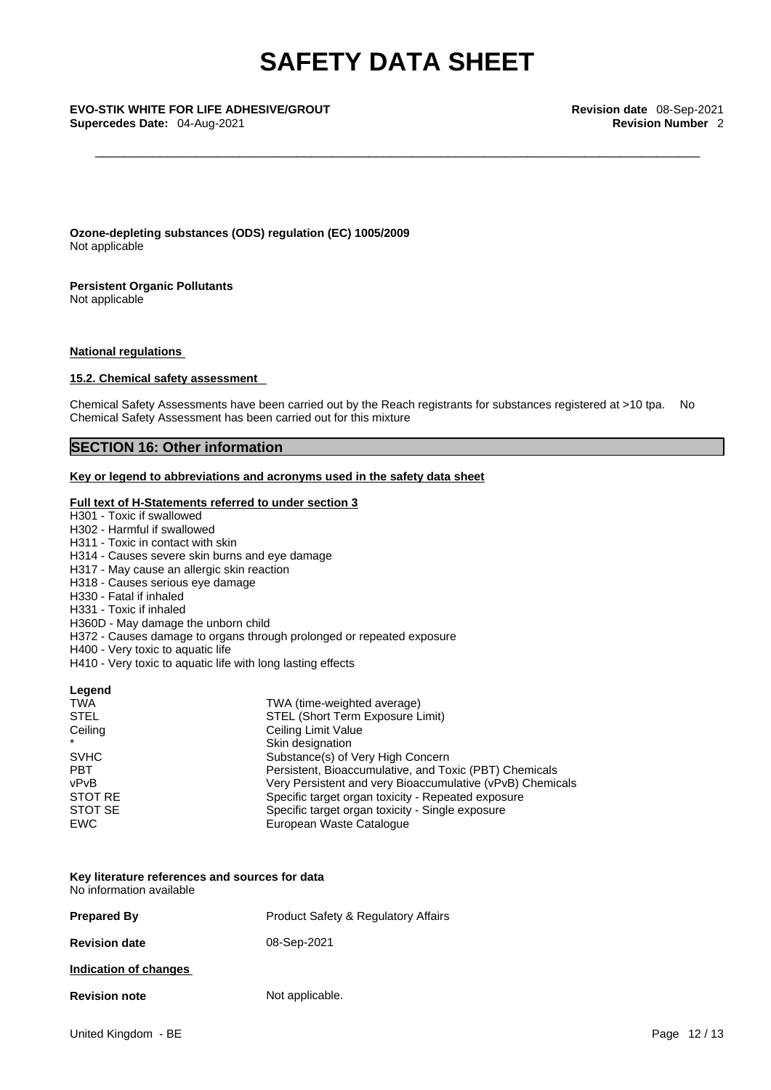**Ozone-depleting substances (ODS) regulation (EC) 1005/2009** Not applicable

**Persistent Organic Pollutants** Not applicable

## **National regulations**

## **15.2. Chemical safety assessment**

Chemical Safety Assessments have been carried out by the Reach registrants for substances registered at >10 tpa. No Chemical Safety Assessment has been carried out for this mixture

## **SECTION 16: Other information**

## **Key or legend to abbreviations and acronyms used in the safety data sheet**

## **Full text of H-Statements referred to under section 3**

H301 - Toxic if swallowed H302 - Harmful if swallowed H311 - Toxic in contact with skin H314 - Causes severe skin burns and eye damage H317 - May cause an allergic skin reaction H318 - Causes serious eye damage H330 - Fatal if inhaled H331 - Toxic if inhaled H360D - May damage the unborn child H372 - Causes damage to organs through prolonged or repeated exposure H400 - Very toxic to aquatic life H410 - Very toxic to aquatic life with long lasting effects **Legend**  TWA TWA (time-weighted average)<br>STEL STEL (Short Term Exposure L STEL (Short Term Exposure Limit) Ceiling Ceiling Limit Value \* The Skin designation<br>
Skin designation<br>
Substance(s) of SVHC SUBstance(s) of Very High Concern<br>
PBT PBT Persistent, Bioaccumulative, and To Persistent, Bioaccumulative, and Toxic (PBT) Chemicals vPvB<br>
Very Persistent and very Bioaccumulative (vPvB) Chemicals<br>
Specific target organ toxicity - Repeated exposure

## Specific target organ toxicity - Repeated exposure STOT SE Specific target organ toxicity - Single exposure EWC **EURO** European Waste Catalogue

### **Key literature references and sources for data** No information available

| <b>Prepared By</b>    | <b>Product Safety &amp; Regulatory Affairs</b> |
|-----------------------|------------------------------------------------|
| <b>Revision date</b>  | 08-Sep-2021                                    |
| Indication of changes |                                                |
| <b>Revision note</b>  | Not applicable.                                |